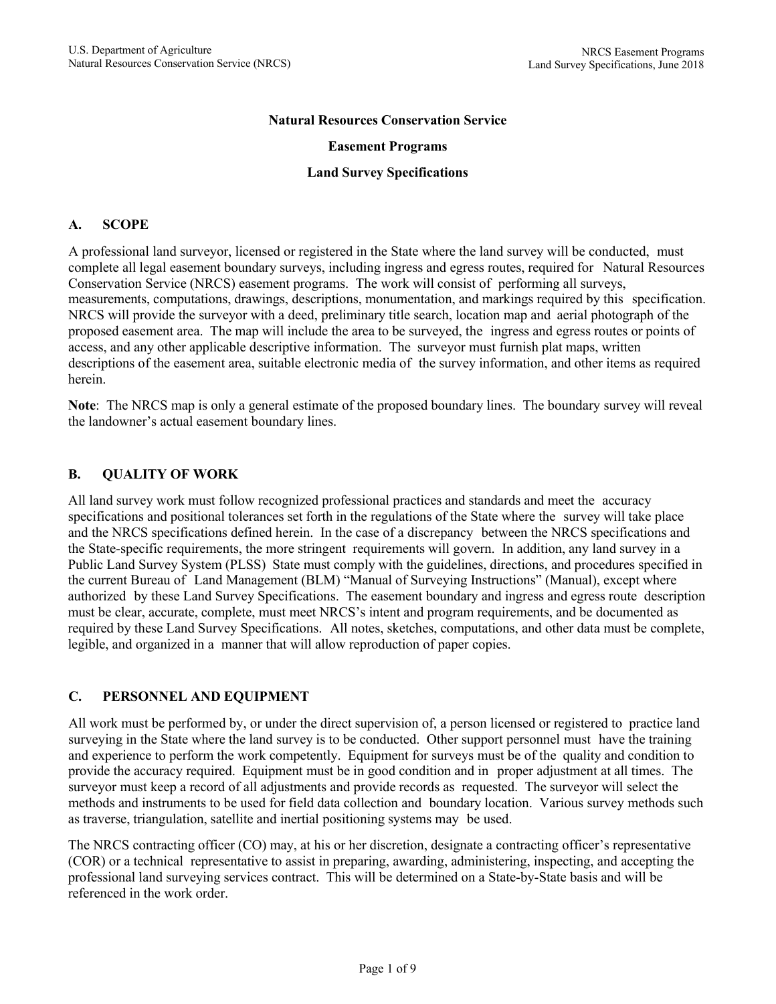#### **Natural Resources Conservation Service**

#### **Easement Programs**

#### **Land Survey Specifications**

#### **A. SCOPE**

A professional land surveyor, licensed or registered in the State where the land survey will be conducted, must complete all legal easement boundary surveys, including ingress and egress routes, required for Natural Resources Conservation Service (NRCS) easement programs. The work will consist of performing all surveys, measurements, computations, drawings, descriptions, monumentation, and markings required by this specification. NRCS will provide the surveyor with a deed, preliminary title search, location map and aerial photograph of the proposed easement area. The map will include the area to be surveyed, the ingress and egress routes or points of access, and any other applicable descriptive information. The surveyor must furnish plat maps, written descriptions of the easement area, suitable electronic media of the survey information, and other items as required herein.

**Note**: The NRCS map is only a general estimate of the proposed boundary lines. The boundary survey will reveal the landowner's actual easement boundary lines.

#### **B. QUALITY OF WORK**

All land survey work must follow recognized professional practices and standards and meet the accuracy specifications and positional tolerances set forth in the regulations of the State where the survey will take place and the NRCS specifications defined herein. In the case of a discrepancy between the NRCS specifications and the State-specific requirements, the more stringent requirements will govern. In addition, any land survey in a Public Land Survey System (PLSS) State must comply with the guidelines, directions, and procedures specified in the current Bureau of Land Management (BLM) "Manual of Surveying Instructions" (Manual), except where authorized by these Land Survey Specifications. The easement boundary and ingress and egress route description must be clear, accurate, complete, must meet NRCS's intent and program requirements, and be documented as required by these Land Survey Specifications. All notes, sketches, computations, and other data must be complete, legible, and organized in a manner that will allow reproduction of paper copies.

### **C. PERSONNEL AND EQUIPMENT**

All work must be performed by, or under the direct supervision of, a person licensed or registered to practice land surveying in the State where the land survey is to be conducted. Other support personnel must have the training and experience to perform the work competently. Equipment for surveys must be of the quality and condition to provide the accuracy required. Equipment must be in good condition and in proper adjustment at all times. The surveyor must keep a record of all adjustments and provide records as requested. The surveyor will select the methods and instruments to be used for field data collection and boundary location. Various survey methods such as traverse, triangulation, satellite and inertial positioning systems may be used.

The NRCS contracting officer (CO) may, at his or her discretion, designate a contracting officer's representative (COR) or a technical representative to assist in preparing, awarding, administering, inspecting, and accepting the professional land surveying services contract. This will be determined on a State-by-State basis and will be referenced in the work order.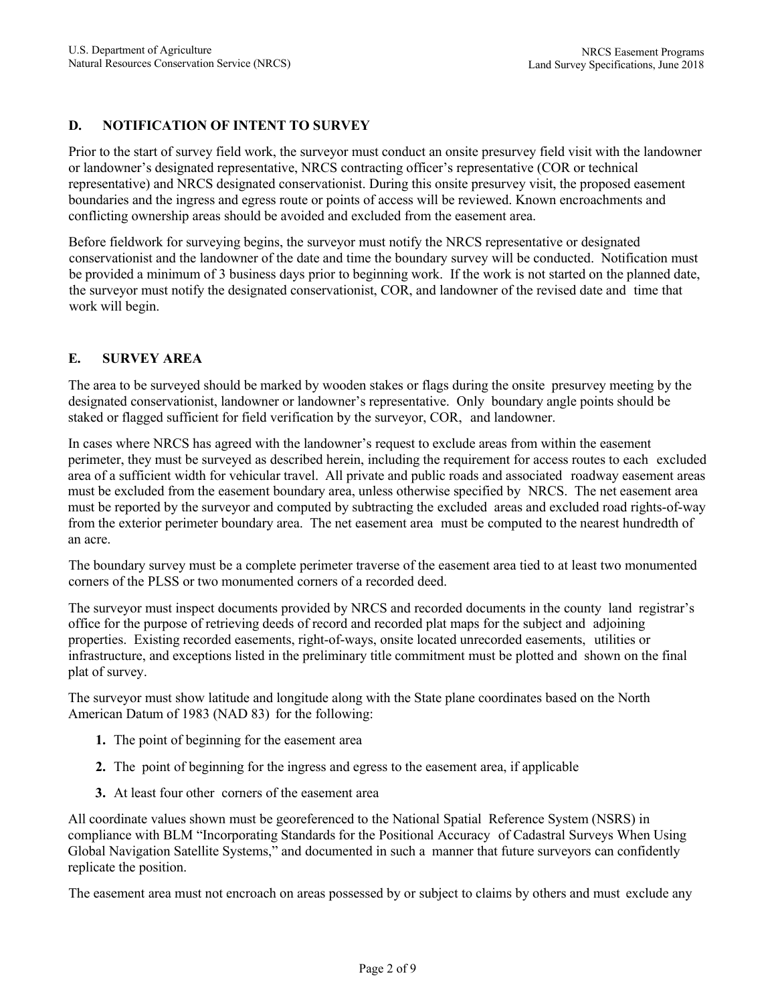# **D. NOTIFICATION OF INTENT TO SURVEY**

Prior to the start of survey field work, the surveyor must conduct an onsite presurvey field visit with the landowner or landowner's designated representative, NRCS contracting officer's representative (COR or technical representative) and NRCS designated conservationist. During this onsite presurvey visit, the proposed easement boundaries and the ingress and egress route or points of access will be reviewed. Known encroachments and conflicting ownership areas should be avoided and excluded from the easement area.

Before fieldwork for surveying begins, the surveyor must notify the NRCS representative or designated conservationist and the landowner of the date and time the boundary survey will be conducted. Notification must be provided a minimum of 3 business days prior to beginning work. If the work is not started on the planned date, the surveyor must notify the designated conservationist, COR, and landowner of the revised date and time that work will begin.

## **E. SURVEY AREA**

The area to be surveyed should be marked by wooden stakes or flags during the onsite presurvey meeting by the designated conservationist, landowner or landowner's representative. Only boundary angle points should be staked or flagged sufficient for field verification by the surveyor, COR, and landowner.

In cases where NRCS has agreed with the landowner's request to exclude areas from within the easement perimeter, they must be surveyed as described herein, including the requirement for access routes to each excluded area of a sufficient width for vehicular travel. All private and public roads and associated roadway easement areas must be excluded from the easement boundary area, unless otherwise specified by NRCS. The net easement area must be reported by the surveyor and computed by subtracting the excluded areas and excluded road rights-of-way from the exterior perimeter boundary area. The net easement area must be computed to the nearest hundredth of an acre.

The boundary survey must be a complete perimeter traverse of the easement area tied to at least two monumented corners of the PLSS or two monumented corners of a recorded deed.

The surveyor must inspect documents provided by NRCS and recorded documents in the county land registrar's office for the purpose of retrieving deeds of record and recorded plat maps for the subject and adjoining properties. Existing recorded easements, right-of-ways, onsite located unrecorded easements, utilities or infrastructure, and exceptions listed in the preliminary title commitment must be plotted and shown on the final plat of survey.

The surveyor must show latitude and longitude along with the State plane coordinates based on the North American Datum of 1983 (NAD 83) for the following:

- **1.** The point of beginning for the easement area
- **2.** The point of beginning for the ingress and egress to the easement area, if applicable
- **3.** At least four other corners of the easement area

All coordinate values shown must be georeferenced to the National Spatial Reference System (NSRS) in compliance with BLM "Incorporating Standards for the Positional Accuracy of Cadastral Surveys When Using Global Navigation Satellite Systems," and documented in such a manner that future surveyors can confidently replicate the position.

The easement area must not encroach on areas possessed by or subject to claims by others and must exclude any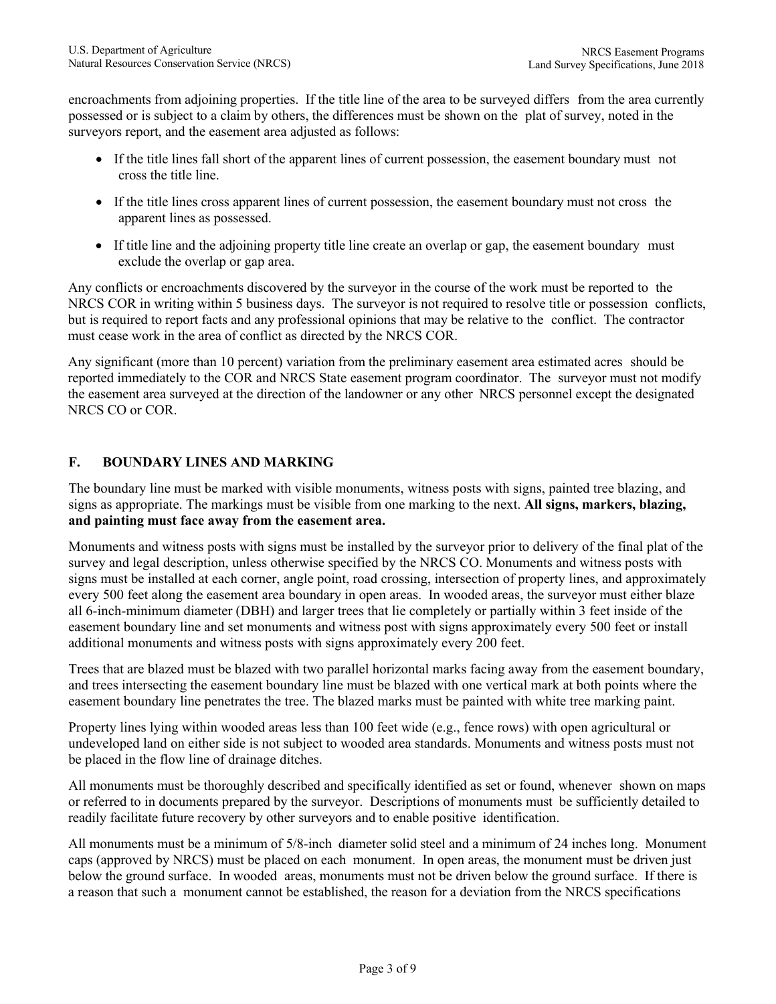encroachments from adjoining properties. If the title line of the area to be surveyed differs from the area currently possessed or is subject to a claim by others, the differences must be shown on the plat of survey, noted in the surveyors report, and the easement area adjusted as follows:

- If the title lines fall short of the apparent lines of current possession, the easement boundary must not cross the title line.
- If the title lines cross apparent lines of current possession, the easement boundary must not cross the apparent lines as possessed.
- If title line and the adjoining property title line create an overlap or gap, the easement boundary must exclude the overlap or gap area.

Any conflicts or encroachments discovered by the surveyor in the course of the work must be reported to the NRCS COR in writing within 5 business days. The surveyor is not required to resolve title or possession conflicts, but is required to report facts and any professional opinions that may be relative to the conflict. The contractor must cease work in the area of conflict as directed by the NRCS COR.

Any significant (more than 10 percent) variation from the preliminary easement area estimated acres should be reported immediately to the COR and NRCS State easement program coordinator. The surveyor must not modify the easement area surveyed at the direction of the landowner or any other NRCS personnel except the designated NRCS CO or COR.

# **F. BOUNDARY LINES AND MARKING**

The boundary line must be marked with visible monuments, witness posts with signs, painted tree blazing, and signs as appropriate. The markings must be visible from one marking to the next. **All signs, markers, blazing, and painting must face away from the easement area.**

Monuments and witness posts with signs must be installed by the surveyor prior to delivery of the final plat of the survey and legal description, unless otherwise specified by the NRCS CO. Monuments and witness posts with signs must be installed at each corner, angle point, road crossing, intersection of property lines, and approximately every 500 feet along the easement area boundary in open areas. In wooded areas, the surveyor must either blaze all 6-inch-minimum diameter (DBH) and larger trees that lie completely or partially within 3 feet inside of the easement boundary line and set monuments and witness post with signs approximately every 500 feet or install additional monuments and witness posts with signs approximately every 200 feet.

Trees that are blazed must be blazed with two parallel horizontal marks facing away from the easement boundary, and trees intersecting the easement boundary line must be blazed with one vertical mark at both points where the easement boundary line penetrates the tree. The blazed marks must be painted with white tree marking paint.

Property lines lying within wooded areas less than 100 feet wide (e.g., fence rows) with open agricultural or undeveloped land on either side is not subject to wooded area standards. Monuments and witness posts must not be placed in the flow line of drainage ditches.

All monuments must be thoroughly described and specifically identified as set or found, whenever shown on maps or referred to in documents prepared by the surveyor. Descriptions of monuments must be sufficiently detailed to readily facilitate future recovery by other surveyors and to enable positive identification.

All monuments must be a minimum of 5/8-inch diameter solid steel and a minimum of 24 inches long. Monument caps (approved by NRCS) must be placed on each monument. In open areas, the monument must be driven just below the ground surface. In wooded areas, monuments must not be driven below the ground surface. If there is a reason that such a monument cannot be established, the reason for a deviation from the NRCS specifications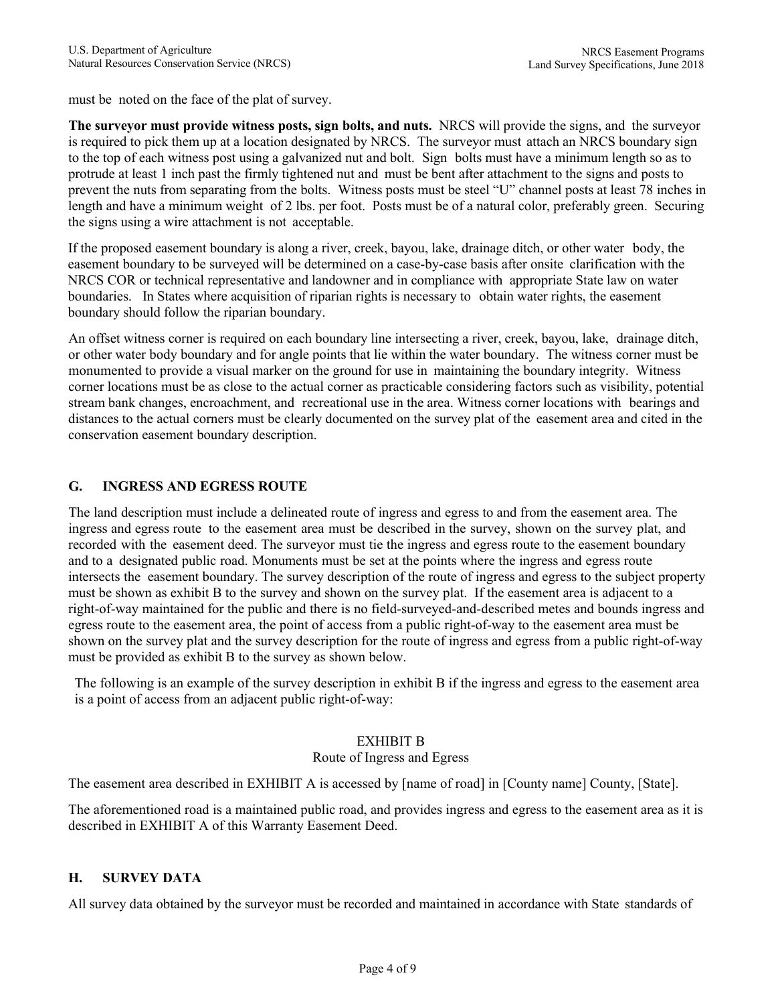must be noted on the face of the plat of survey.

**The surveyor must provide witness posts, sign bolts, and nuts.** NRCS will provide the signs, and the surveyor is required to pick them up at a location designated by NRCS. The surveyor must attach an NRCS boundary sign to the top of each witness post using a galvanized nut and bolt. Sign bolts must have a minimum length so as to protrude at least 1 inch past the firmly tightened nut and must be bent after attachment to the signs and posts to prevent the nuts from separating from the bolts. Witness posts must be steel "U" channel posts at least 78 inches in length and have a minimum weight of 2 lbs. per foot. Posts must be of a natural color, preferably green. Securing the signs using a wire attachment is not acceptable.

If the proposed easement boundary is along a river, creek, bayou, lake, drainage ditch, or other water body, the easement boundary to be surveyed will be determined on a case-by-case basis after onsite clarification with the NRCS COR or technical representative and landowner and in compliance with appropriate State law on water boundaries. In States where acquisition of riparian rights is necessary to obtain water rights, the easement boundary should follow the riparian boundary.

An offset witness corner is required on each boundary line intersecting a river, creek, bayou, lake, drainage ditch, or other water body boundary and for angle points that lie within the water boundary. The witness corner must be monumented to provide a visual marker on the ground for use in maintaining the boundary integrity. Witness corner locations must be as close to the actual corner as practicable considering factors such as visibility, potential stream bank changes, encroachment, and recreational use in the area. Witness corner locations with bearings and distances to the actual corners must be clearly documented on the survey plat of the easement area and cited in the conservation easement boundary description.

## **G. INGRESS AND EGRESS ROUTE**

The land description must include a delineated route of ingress and egress to and from the easement area. The ingress and egress route to the easement area must be described in the survey, shown on the survey plat, and recorded with the easement deed. The surveyor must tie the ingress and egress route to the easement boundary and to a designated public road. Monuments must be set at the points where the ingress and egress route intersects the easement boundary. The survey description of the route of ingress and egress to the subject property must be shown as exhibit B to the survey and shown on the survey plat. If the easement area is adjacent to a right-of-way maintained for the public and there is no field-surveyed-and-described metes and bounds ingress and egress route to the easement area, the point of access from a public right-of-way to the easement area must be shown on the survey plat and the survey description for the route of ingress and egress from a public right-of-way must be provided as exhibit B to the survey as shown below.

The following is an example of the survey description in exhibit B if the ingress and egress to the easement area is a point of access from an adjacent public right-of-way:

### EXHIBIT B

### Route of Ingress and Egress

The easement area described in EXHIBIT A is accessed by [name of road] in [County name] County, [State].

The aforementioned road is a maintained public road, and provides ingress and egress to the easement area as it is described in EXHIBIT A of this Warranty Easement Deed.

### **H. SURVEY DATA**

All survey data obtained by the surveyor must be recorded and maintained in accordance with State standards of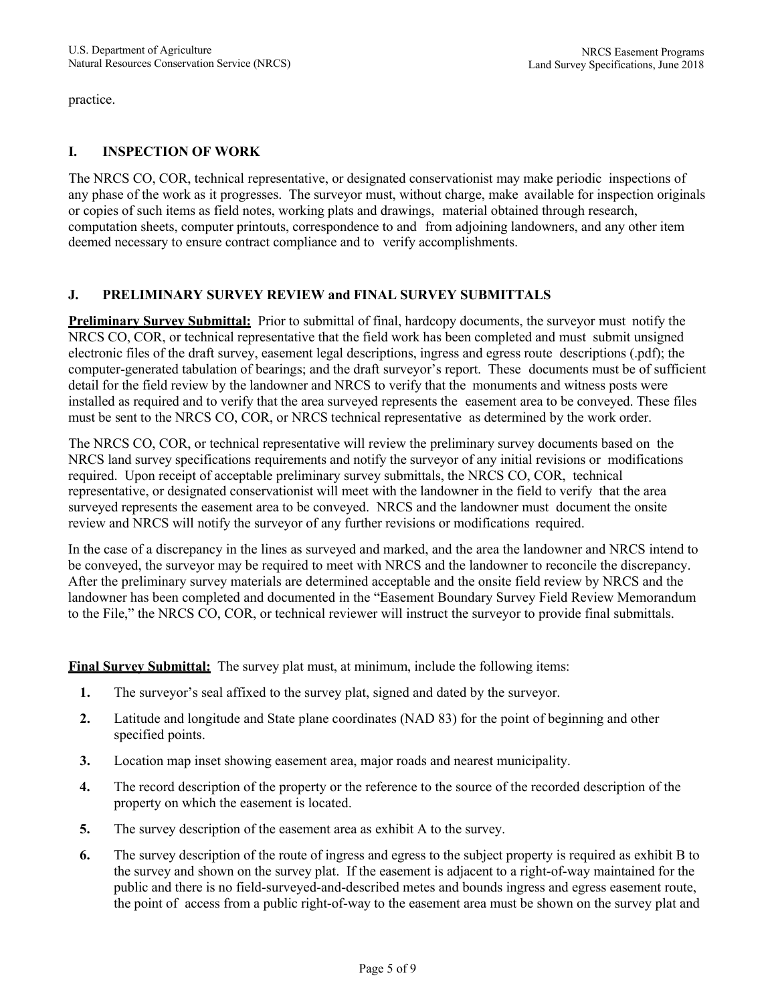practice.

## **I. INSPECTION OF WORK**

The NRCS CO, COR, technical representative, or designated conservationist may make periodic inspections of any phase of the work as it progresses. The surveyor must, without charge, make available for inspection originals or copies of such items as field notes, working plats and drawings, material obtained through research, computation sheets, computer printouts, correspondence to and from adjoining landowners, and any other item deemed necessary to ensure contract compliance and to verify accomplishments.

## **J. PRELIMINARY SURVEY REVIEW and FINAL SURVEY SUBMITTALS**

**Preliminary Survey Submittal:** Prior to submittal of final, hardcopy documents, the surveyor must notify the NRCS CO, COR, or technical representative that the field work has been completed and must submit unsigned electronic files of the draft survey, easement legal descriptions, ingress and egress route descriptions (.pdf); the computer-generated tabulation of bearings; and the draft surveyor's report. These documents must be of sufficient detail for the field review by the landowner and NRCS to verify that the monuments and witness posts were installed as required and to verify that the area surveyed represents the easement area to be conveyed. These files must be sent to the NRCS CO, COR, or NRCS technical representative as determined by the work order.

The NRCS CO, COR, or technical representative will review the preliminary survey documents based on the NRCS land survey specifications requirements and notify the surveyor of any initial revisions or modifications required. Upon receipt of acceptable preliminary survey submittals, the NRCS CO, COR, technical representative, or designated conservationist will meet with the landowner in the field to verify that the area surveyed represents the easement area to be conveyed. NRCS and the landowner must document the onsite review and NRCS will notify the surveyor of any further revisions or modifications required.

In the case of a discrepancy in the lines as surveyed and marked, and the area the landowner and NRCS intend to be conveyed, the surveyor may be required to meet with NRCS and the landowner to reconcile the discrepancy. After the preliminary survey materials are determined acceptable and the onsite field review by NRCS and the landowner has been completed and documented in the "Easement Boundary Survey Field Review Memorandum to the File," the NRCS CO, COR, or technical reviewer will instruct the surveyor to provide final submittals.

**Final Survey Submittal:** The survey plat must, at minimum, include the following items:

- **1.** The surveyor's seal affixed to the survey plat, signed and dated by the surveyor.
- **2.** Latitude and longitude and State plane coordinates (NAD 83) for the point of beginning and other specified points.
- **3.** Location map inset showing easement area, major roads and nearest municipality.
- **4.** The record description of the property or the reference to the source of the recorded description of the property on which the easement is located.
- **5.** The survey description of the easement area as exhibit A to the survey.
- **6.** The survey description of the route of ingress and egress to the subject property is required as exhibit B to the survey and shown on the survey plat. If the easement is adjacent to a right-of-way maintained for the public and there is no field-surveyed-and-described metes and bounds ingress and egress easement route, the point of access from a public right-of-way to the easement area must be shown on the survey plat and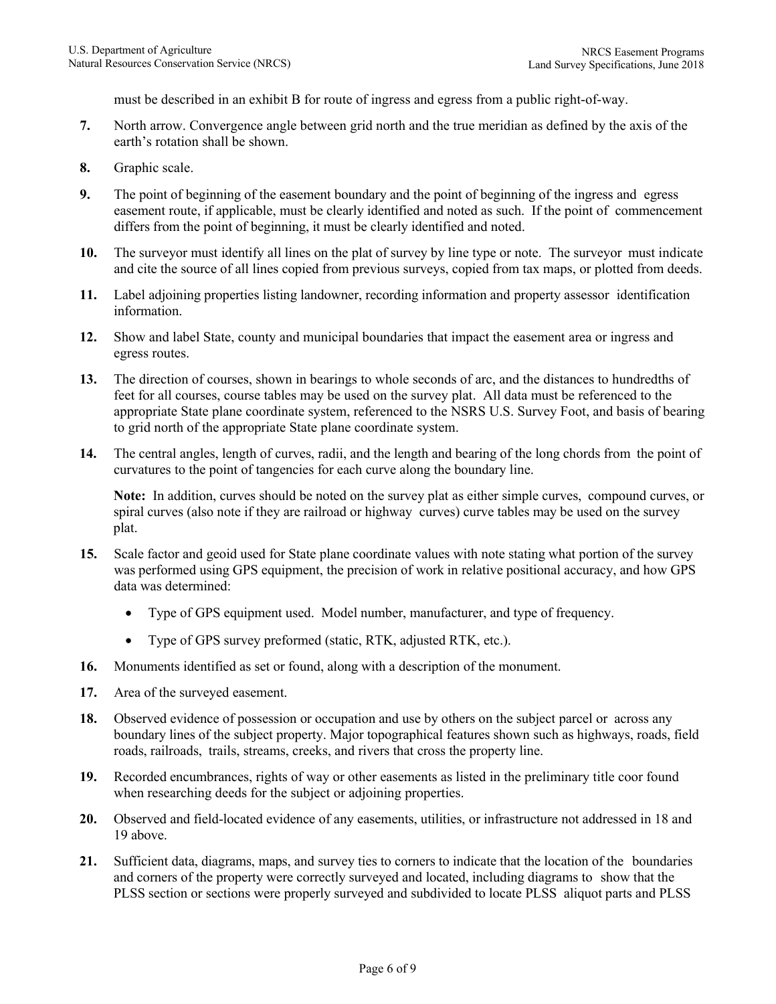must be described in an exhibit B for route of ingress and egress from a public right-of-way.

- **7.** North arrow. Convergence angle between grid north and the true meridian as defined by the axis of the earth's rotation shall be shown.
- **8.** Graphic scale.
- **9.** The point of beginning of the easement boundary and the point of beginning of the ingress and egress easement route, if applicable, must be clearly identified and noted as such. If the point of commencement differs from the point of beginning, it must be clearly identified and noted.
- **10.** The surveyor must identify all lines on the plat of survey by line type or note. The surveyor must indicate and cite the source of all lines copied from previous surveys, copied from tax maps, or plotted from deeds.
- **11.** Label adjoining properties listing landowner, recording information and property assessor identification information.
- **12.** Show and label State, county and municipal boundaries that impact the easement area or ingress and egress routes.
- **13.** The direction of courses, shown in bearings to whole seconds of arc, and the distances to hundredths of feet for all courses, course tables may be used on the survey plat. All data must be referenced to the appropriate State plane coordinate system, referenced to the NSRS U.S. Survey Foot, and basis of bearing to grid north of the appropriate State plane coordinate system.
- **14.** The central angles, length of curves, radii, and the length and bearing of the long chords from the point of curvatures to the point of tangencies for each curve along the boundary line.

**Note:** In addition, curves should be noted on the survey plat as either simple curves, compound curves, or spiral curves (also note if they are railroad or highway curves) curve tables may be used on the survey plat.

- **15.** Scale factor and geoid used for State plane coordinate values with note stating what portion of the survey was performed using GPS equipment, the precision of work in relative positional accuracy, and how GPS data was determined:
	- Type of GPS equipment used. Model number, manufacturer, and type of frequency.
	- Type of GPS survey preformed (static, RTK, adjusted RTK, etc.).
- **16.** Monuments identified as set or found, along with a description of the monument.
- **17.** Area of the surveyed easement.
- **18.** Observed evidence of possession or occupation and use by others on the subject parcel or across any boundary lines of the subject property. Major topographical features shown such as highways, roads, field roads, railroads, trails, streams, creeks, and rivers that cross the property line.
- **19.** Recorded encumbrances, rights of way or other easements as listed in the preliminary title coor found when researching deeds for the subject or adjoining properties.
- **20.** Observed and field-located evidence of any easements, utilities, or infrastructure not addressed in 18 and 19 above.
- **21.** Sufficient data, diagrams, maps, and survey ties to corners to indicate that the location of the boundaries and corners of the property were correctly surveyed and located, including diagrams to show that the PLSS section or sections were properly surveyed and subdivided to locate PLSS aliquot parts and PLSS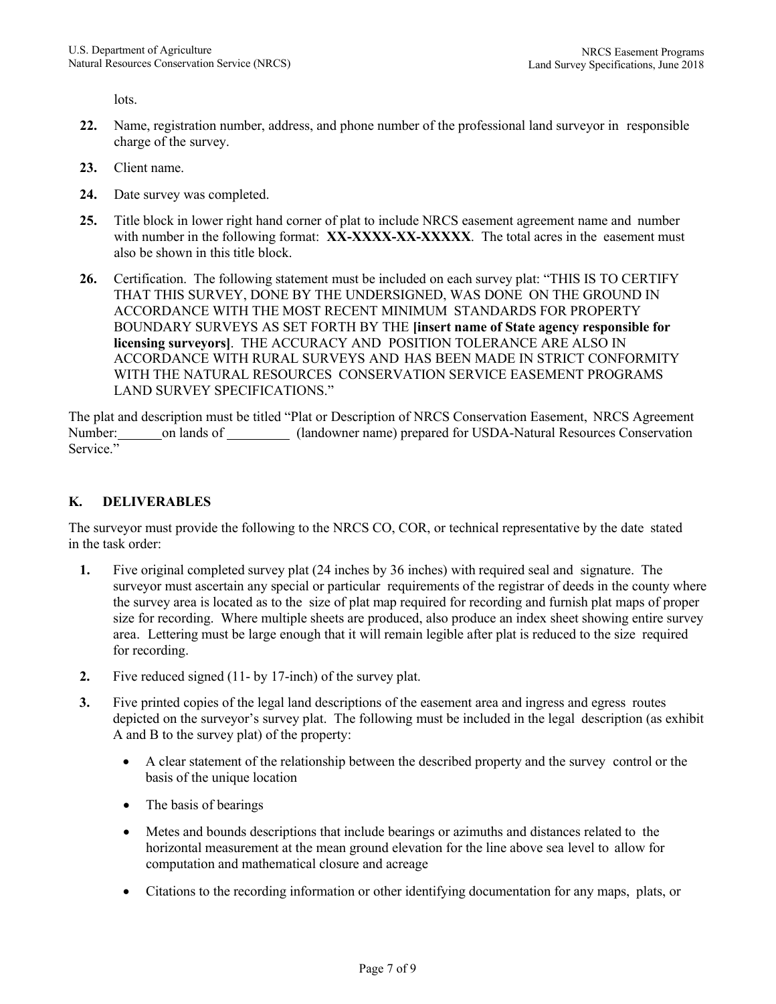lots.

- **22.** Name, registration number, address, and phone number of the professional land surveyor in responsible charge of the survey.
- **23.** Client name.
- **24.** Date survey was completed.
- **25.** Title block in lower right hand corner of plat to include NRCS easement agreement name and number with number in the following format: **XX-XXXX-XX-XXXXX**. The total acres in the easement must also be shown in this title block.
- **26.** Certification. The following statement must be included on each survey plat: "THIS IS TO CERTIFY THAT THIS SURVEY, DONE BY THE UNDERSIGNED, WAS DONE ON THE GROUND IN ACCORDANCE WITH THE MOST RECENT MINIMUM STANDARDS FOR PROPERTY BOUNDARY SURVEYS AS SET FORTH BY THE **[insert name of State agency responsible for licensing surveyors]**. THE ACCURACY AND POSITION TOLERANCE ARE ALSO IN ACCORDANCE WITH RURAL SURVEYS AND HAS BEEN MADE IN STRICT CONFORMITY WITH THE NATURAL RESOURCES CONSERVATION SERVICE EASEMENT PROGRAMS LAND SURVEY SPECIFICATIONS."

The plat and description must be titled "Plat or Description of NRCS Conservation Easement, NRCS Agreement Number: on lands of (landowner name) prepared for USDA-Natural Resources Conservation Service."

## **K. DELIVERABLES**

The surveyor must provide the following to the NRCS CO, COR, or technical representative by the date stated in the task order:

- **1.** Five original completed survey plat (24 inches by 36 inches) with required seal and signature. The surveyor must ascertain any special or particular requirements of the registrar of deeds in the county where the survey area is located as to the size of plat map required for recording and furnish plat maps of proper size for recording. Where multiple sheets are produced, also produce an index sheet showing entire survey area. Lettering must be large enough that it will remain legible after plat is reduced to the size required for recording.
- **2.** Five reduced signed (11- by 17-inch) of the survey plat.
- **3.** Five printed copies of the legal land descriptions of the easement area and ingress and egress routes depicted on the surveyor's survey plat. The following must be included in the legal description (as exhibit A and B to the survey plat) of the property:
	- A clear statement of the relationship between the described property and the survey control or the basis of the unique location
	- The basis of bearings
	- Metes and bounds descriptions that include bearings or azimuths and distances related to the horizontal measurement at the mean ground elevation for the line above sea level to allow for computation and mathematical closure and acreage
	- Citations to the recording information or other identifying documentation for any maps, plats, or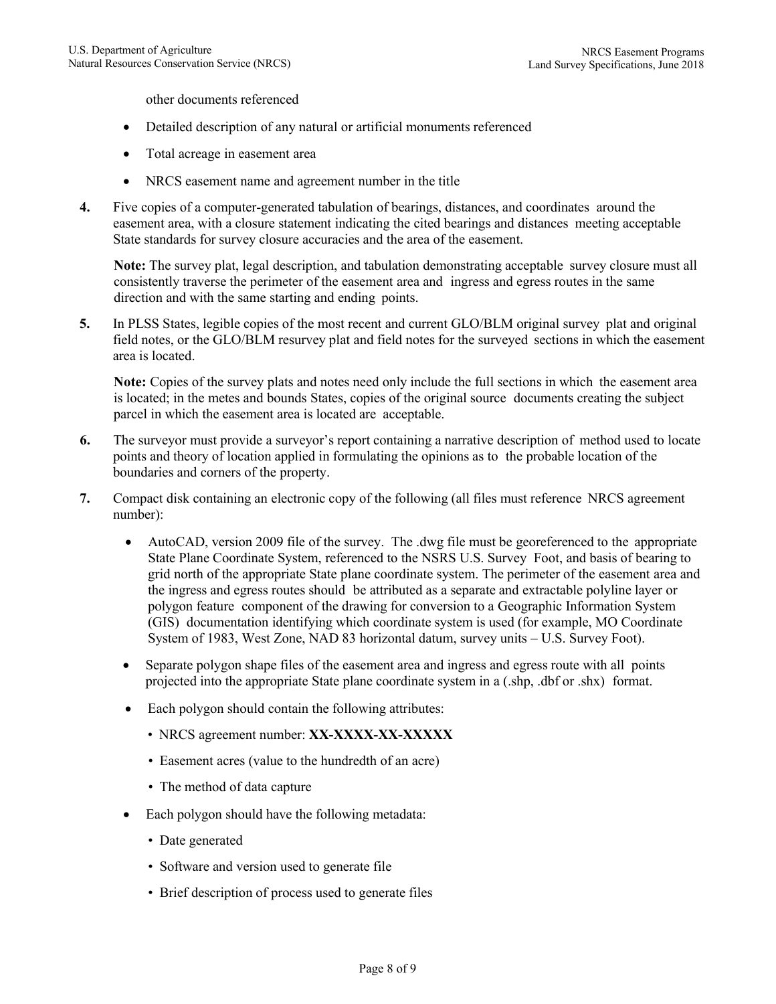other documents referenced

- Detailed description of any natural or artificial monuments referenced
- Total acreage in easement area
- NRCS easement name and agreement number in the title
- **4.** Five copies of a computer-generated tabulation of bearings, distances, and coordinates around the easement area, with a closure statement indicating the cited bearings and distances meeting acceptable State standards for survey closure accuracies and the area of the easement.

**Note:** The survey plat, legal description, and tabulation demonstrating acceptable survey closure must all consistently traverse the perimeter of the easement area and ingress and egress routes in the same direction and with the same starting and ending points.

**5.** In PLSS States, legible copies of the most recent and current GLO/BLM original survey plat and original field notes, or the GLO/BLM resurvey plat and field notes for the surveyed sections in which the easement area is located.

**Note:** Copies of the survey plats and notes need only include the full sections in which the easement area is located; in the metes and bounds States, copies of the original source documents creating the subject parcel in which the easement area is located are acceptable.

- **6.** The surveyor must provide a surveyor's report containing a narrative description of method used to locate points and theory of location applied in formulating the opinions as to the probable location of the boundaries and corners of the property.
- **7.** Compact disk containing an electronic copy of the following (all files must reference NRCS agreement number):
	- AutoCAD, version 2009 file of the survey. The .dwg file must be georeferenced to the appropriate State Plane Coordinate System, referenced to the NSRS U.S. Survey Foot, and basis of bearing to grid north of the appropriate State plane coordinate system. The perimeter of the easement area and the ingress and egress routes should be attributed as a separate and extractable polyline layer or polygon feature component of the drawing for conversion to a Geographic Information System (GIS) documentation identifying which coordinate system is used (for example, MO Coordinate System of 1983, West Zone, NAD 83 horizontal datum, survey units – U.S. Survey Foot).
	- Separate polygon shape files of the easement area and ingress and egress route with all points projected into the appropriate State plane coordinate system in a (.shp, .dbf or .shx) format.
	- Each polygon should contain the following attributes:
		- NRCS agreement number: **XX-XXXX-XX-XXXXX**
		- Easement acres (value to the hundredth of an acre)
		- The method of data capture
	- Each polygon should have the following metadata:
		- Date generated
		- Software and version used to generate file
		- Brief description of process used to generate files